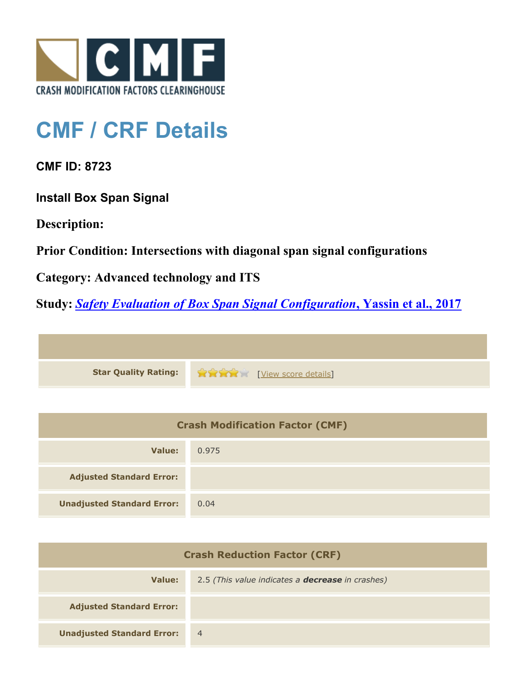

## **CMF / CRF Details**

**CMF ID: 8723**

**Install Box Span Signal**

**Description:** 

**Prior Condition: Intersections with diagonal span signal configurations**

**Category: Advanced technology and ITS**

**Study:** *[Safety Evaluation of Box Span Signal Configuration](http://www.cmfclearinghouse.org/study_detail.cfm?stid=484)***[, Yassin et al., 2017](http://www.cmfclearinghouse.org/study_detail.cfm?stid=484)**



| <b>Crash Modification Factor (CMF)</b> |       |  |
|----------------------------------------|-------|--|
| Value:                                 | 0.975 |  |
| <b>Adjusted Standard Error:</b>        |       |  |
| <b>Unadjusted Standard Error:</b>      | 0.04  |  |

| <b>Crash Reduction Factor (CRF)</b> |                                                         |
|-------------------------------------|---------------------------------------------------------|
| Value:                              | 2.5 (This value indicates a <b>decrease</b> in crashes) |
| <b>Adjusted Standard Error:</b>     |                                                         |
| <b>Unadjusted Standard Error:</b>   | $\overline{4}$                                          |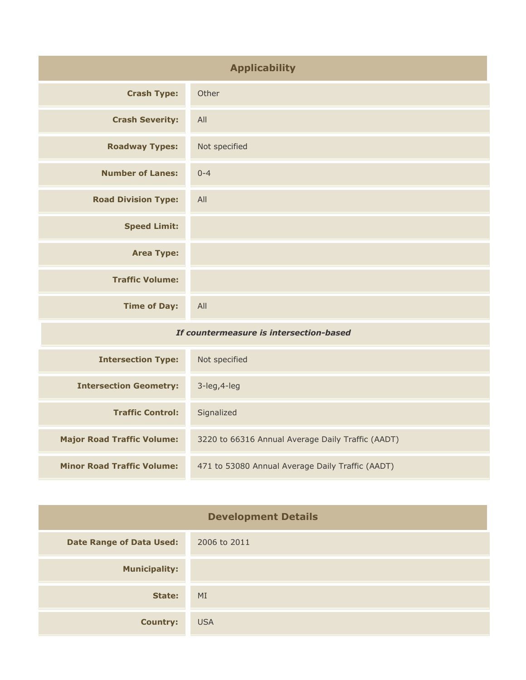| <b>Applicability</b>                    |               |
|-----------------------------------------|---------------|
| <b>Crash Type:</b>                      | Other         |
| <b>Crash Severity:</b>                  | All           |
| <b>Roadway Types:</b>                   | Not specified |
| <b>Number of Lanes:</b>                 | $0 - 4$       |
| <b>Road Division Type:</b>              | All           |
| <b>Speed Limit:</b>                     |               |
| <b>Area Type:</b>                       |               |
| <b>Traffic Volume:</b>                  |               |
| <b>Time of Day:</b>                     | All           |
| If countermeasure is intersection-based |               |

| <b>Intersection Type:</b>         | Not specified                                     |
|-----------------------------------|---------------------------------------------------|
| <b>Intersection Geometry:</b>     | $3$ -leg, $4$ -leg                                |
| <b>Traffic Control:</b>           | Signalized                                        |
| <b>Major Road Traffic Volume:</b> | 3220 to 66316 Annual Average Daily Traffic (AADT) |
| <b>Minor Road Traffic Volume:</b> | 471 to 53080 Annual Average Daily Traffic (AADT)  |

| <b>Development Details</b>      |              |
|---------------------------------|--------------|
| <b>Date Range of Data Used:</b> | 2006 to 2011 |
| <b>Municipality:</b>            |              |
| State:                          | MI           |
| <b>Country:</b>                 | <b>USA</b>   |